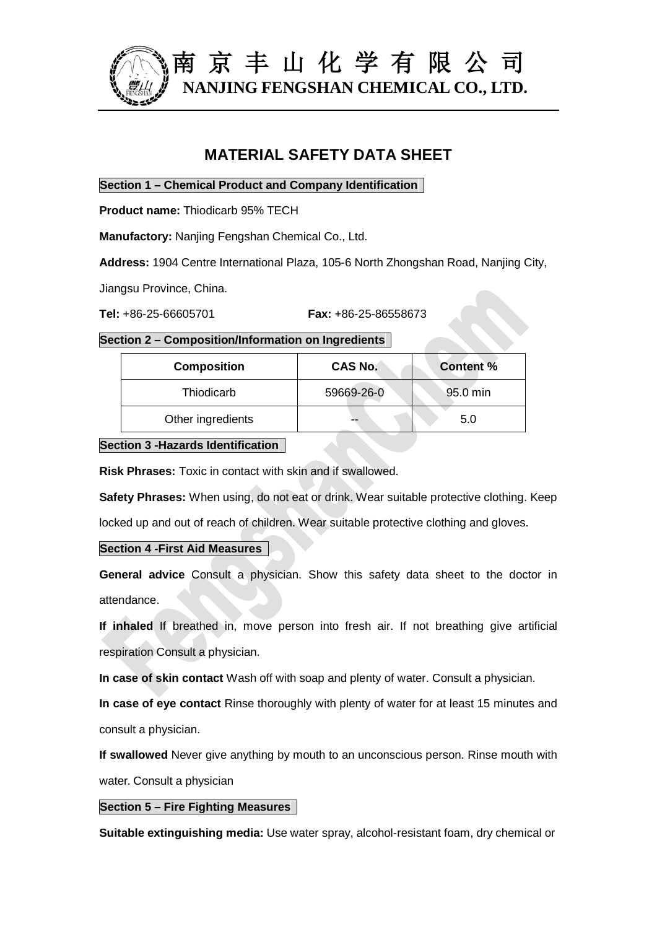

# **MATERIAL SAFETY DATA SHEET**

**Section 1 – Chemical Product and Company Identification**

**Product name:** Thiodicarb 95% TECH

**Manufactory:** Nanjing Fengshan Chemical Co., Ltd.

**Address:** 1904 Centre International Plaza, 105-6 North Zhongshan Road, Nanjing City,

Jiangsu Province, China.

#### **Section 2 – Composition/Information on Ingredients**

| <b>Composition</b> | <b>CAS No.</b> | <b>Content %</b> |
|--------------------|----------------|------------------|
| Thiodicarb         | 59669-26-0     | 95.0 min         |
| Other ingredients  |                | 5.0              |

**Section 3 -Hazards Identification**

**Risk Phrases:** Toxic in contact with skin and if swallowed.

**Safety Phrases:** When using, do not eat or drink. Wear suitable protective clothing. Keep

locked up and out of reach of children. Wear suitable protective clothing and gloves.

## **Section 4 -First Aid Measures**

**General advice** Consult a physician. Show this safety data sheet to the doctor in attendance.

**If inhaled** If breathed in, move person into fresh air. If not breathing give artificial respiration Consult a physician.

**In case of skin contact** Wash off with soap and plenty of water. Consult a physician.

**In case of eye contact** Rinse thoroughly with plenty of water for at least 15 minutes and consult a physician.

**If swallowed** Never give anything by mouth to an unconscious person. Rinse mouth with water. Consult a physician

## **Section 5 – Fire Fighting Measures**

**Suitable extinguishing media:** Use water spray, alcohol-resistant foam, dry chemical or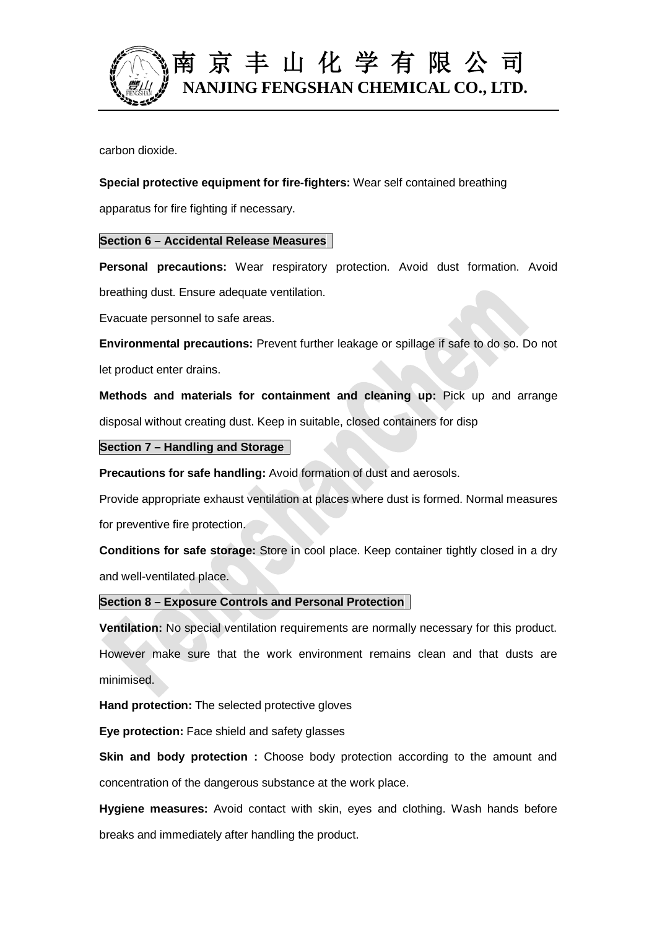

# 南 京 丰 山 化 学 有 限 公 司 **NANJING FENGSHAN CHEMICAL CO., LTD.**

carbon dioxide.

**Special protective equipment for fire-fighters:** Wear self contained breathing

apparatus for fire fighting if necessary.

# **Section 6 – Accidental Release Measures**

**Personal precautions:** Wear respiratory protection. Avoid dust formation. Avoid breathing dust. Ensure adequate ventilation.

Evacuate personnel to safe areas.

**Environmental precautions:** Prevent further leakage or spillage if safe to do so. Do not let product enter drains.

**Methods and materials for containment and cleaning up:** Pick up and arrange disposal without creating dust. Keep in suitable, closed containers for disp

# **Section 7 – Handling and Storage**

**Precautions for safe handling:** Avoid formation of dust and aerosols.

Provide appropriate exhaust ventilation at places where dust is formed. Normal measures for preventive fire protection.

**Conditions for safe storage:** Store in cool place. Keep container tightly closed in a dry and well-ventilated place.

# **Section 8 – Exposure Controls and Personal Protection**

**Ventilation:** No special ventilation requirements are normally necessary for this product. However make sure that the work environment remains clean and that dusts are minimised.

**Hand protection:** The selected protective gloves

**Eye protection:** Face shield and safety glasses

**Skin and body protection :** Choose body protection according to the amount and concentration of the dangerous substance at the work place.

**Hygiene measures:** Avoid contact with skin, eyes and clothing. Wash hands before breaks and immediately after handling the product.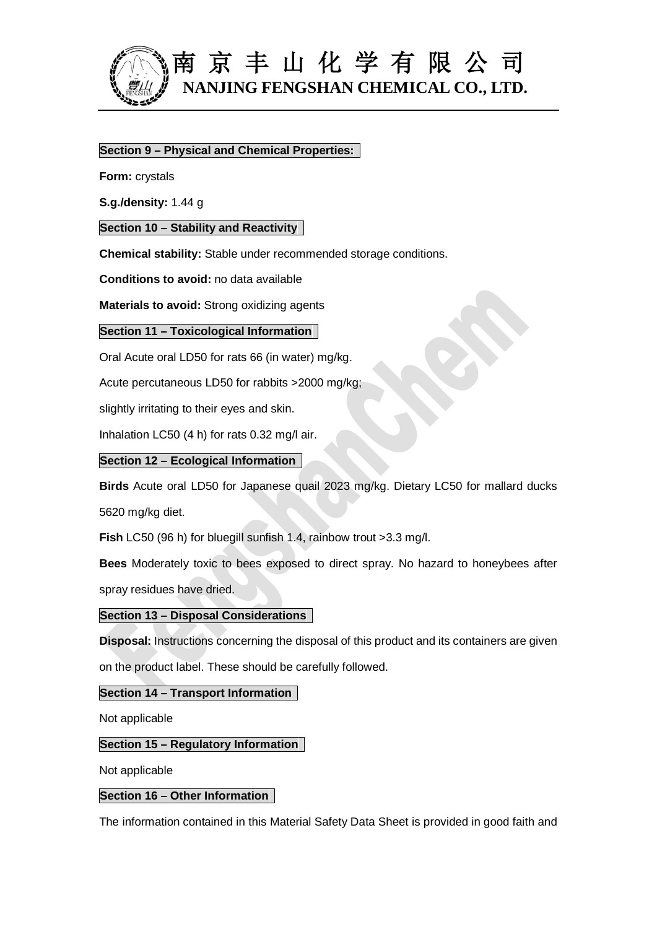

# 南 京 丰 山 化 学 有 限 公 司 **NANJING FENGSHAN CHEMICAL CO., LTD.**

# **Section 9 – Physical and Chemical Properties:**

**Form:** crystals

**S.g./density:** 1.44 g

## **Section 10 – Stability and Reactivity**

**Chemical stability:** Stable under recommended storage conditions.

**Conditions to avoid:** no data available

**Materials to avoid:** Strong oxidizing agents

#### **Section 11 – Toxicological Information**

Oral Acute oral LD50 for rats 66 (in water) mg/kg.

Acute percutaneous LD50 for rabbits >2000 mg/kg;

slightly irritating to their eyes and skin.

Inhalation LC50 (4 h) for rats 0.32 mg/l air.

#### **Section 12 – Ecological Information**

**Birds** Acute oral LD50 for Japanese quail 2023 mg/kg. Dietary LC50 for mallard ducks 5620 mg/kg diet.

**Fish** LC50 (96 h) for bluegill sunfish 1.4, rainbow trout >3.3 mg/l.

**Bees** Moderately toxic to bees exposed to direct spray. No hazard to honeybees after spray residues have dried.

## **Section 13 – Disposal Considerations**

**Disposal:** Instructions concerning the disposal of this product and its containers are given on the product label. These should be carefully followed.

## **Section 14 – Transport Information**

Not applicable

## **Section 15 – Regulatory Information**

Not applicable

# **Section 16 – Other Information**

The information contained in this Material Safety Data Sheet is provided in good faith and